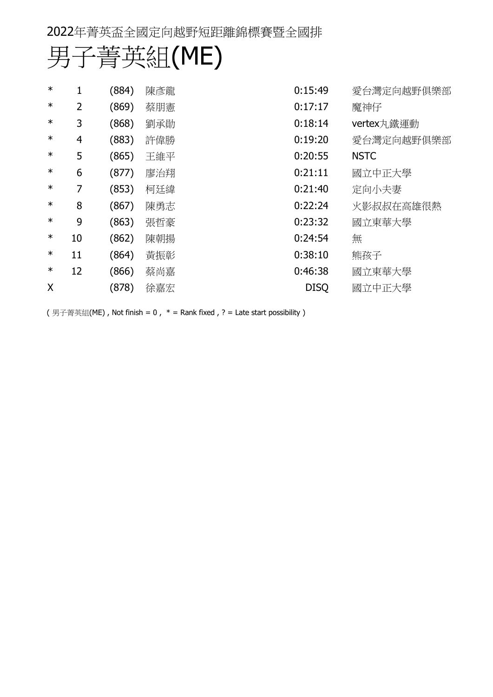| $\ast$ |    | (884) | 陳彥龍 | 0:15:49<br>愛台灣定向越野俱樂部  |
|--------|----|-------|-----|------------------------|
| $\ast$ | 2  | (869) | 蔡朋憲 | 0:17:17<br>魔神仔         |
| $\ast$ | 3  | (868) | 劉承勛 | 0:18:14<br>vertex丸鐵運動  |
| $\ast$ | 4  | (883) | 許偉勝 | 0:19:20<br>愛台灣定向越野俱樂部  |
| $\ast$ | 5  | (865) | 王維平 | <b>NSTC</b><br>0:20:55 |
| $\ast$ | 6  | (877) | 廖治翔 | 0:21:11<br>國立中正大學      |
| $\ast$ | 7  | (853) | 柯廷緯 | 0:21:40<br>定向小夫妻       |
| $\ast$ | 8  | (867) | 陳勇志 | 0:22:24<br>火影叔叔在高雄很熱   |
| $\ast$ | 9  | (863) | 張哲豪 | 0:23:32<br>國立東華大學      |
| $\ast$ | 10 | (862) | 陳朝揚 | 0:24:54<br>無           |
| $\ast$ | 11 | (864) | 黃振彰 | 0:38:10<br>熊孩子         |
| $\ast$ | 12 | (866) | 蔡尚嘉 | 0:46:38<br>國立東華大學      |
| X      |    | (878) | 徐嘉宏 | <b>DISQ</b><br>國立中正大學  |

(男子菁英組(ME), Not finish = 0,  $*$  = Rank fixed, ? = Late start possibility)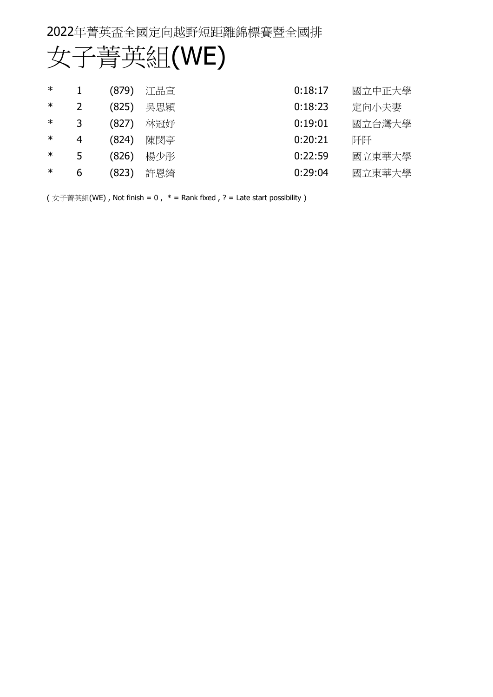# 女子菁英組(WE)

| 國立中正大學 |
|--------|
| 定向小夫妻  |
| 國立台灣大學 |
| 阡阡     |
| 國立東華大學 |
| 國立東華大學 |
|        |

(女子菁英組(WE), Not finish = 0,  $*$  = Rank fixed, ? = Late start possibility)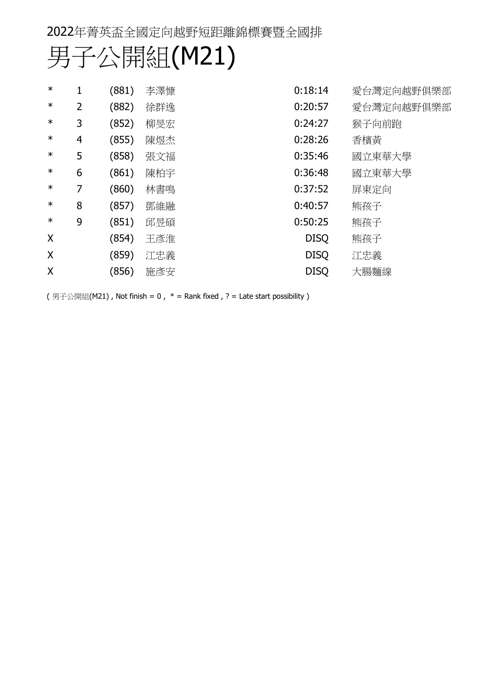| $\ast$ |   | (881) | 李澤慷 | 0:18:14     | 愛台灣定向越野俱樂部 |
|--------|---|-------|-----|-------------|------------|
| $\ast$ | 2 | (882) | 徐群逸 | 0:20:57     | 愛台灣定向越野俱樂部 |
| $\ast$ | 3 | (852) | 柳旻宏 | 0:24:27     | 猴子向前跑      |
| $\ast$ | 4 | (855) | 陳煜杰 | 0:28:26     | 香檳黃        |
| $\ast$ | 5 | (858) | 張文福 | 0:35:46     | 國立東華大學     |
| $\ast$ | 6 | (861) | 陳柏宇 | 0:36:48     | 國立東華大學     |
| $\ast$ | 7 | (860) | 林書鳴 | 0:37:52     | 屏東定向       |
| $\ast$ | 8 | (857) | 鄧維融 | 0:40:57     | 熊孩子        |
| $\ast$ | 9 | (851) | 邱昱碩 | 0:50:25     | 熊孩子        |
| X      |   | (854) | 王彥淮 | <b>DISQ</b> | 熊孩子        |
| X      |   | (859) | 江忠義 | <b>DISQ</b> | 江忠義        |
| X      |   | (856) | 施彥安 | <b>DISQ</b> | 大腸麵線       |

(男子公開組(M21), Not finish = 0,  $*$  = Rank fixed, ? = Late start possibility)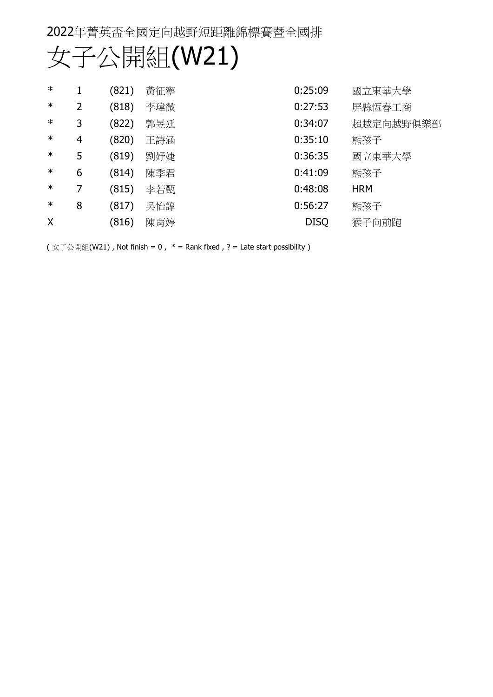| 女子公開組(W21) |
|------------|
|------------|

| $\ast$ |                | (821) | 黃征寧 | 0:25:09     | 國立東華大學     |
|--------|----------------|-------|-----|-------------|------------|
| $\ast$ | 2              | (818) | 李瑋微 | 0:27:53     | 屏縣恆春工商     |
| $\ast$ | 3              | (822) | 郭昱廷 | 0:34:07     | 超越定向越野俱樂部  |
| $\ast$ | $\overline{4}$ | (820) | 王詩涵 | 0:35:10     | 熊孩子        |
| $\ast$ | 5              | (819) | 劉妤婕 | 0:36:35     | 國立東華大學     |
| $\ast$ | 6              | (814) | 陳季君 | 0:41:09     | 熊孩子        |
| $\ast$ | 7              | (815) | 李若甄 | 0:48:08     | <b>HRM</b> |
| $\ast$ | 8              | (817) | 吳怡諄 | 0:56:27     | 熊孩子        |
| X      |                | (816) | 陳育婷 | <b>DISQ</b> | 猴子向前跑      |

(女子公開組(W21), Not finish = 0,  $*$  = Rank fixed, ? = Late start possibility)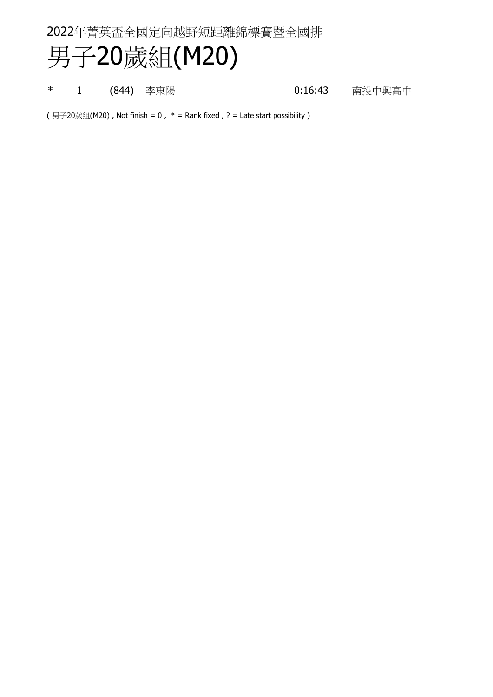## 男子20歲組(M20)

\* 1 (844) 李東陽 1 - 1 (844) 李東陽 1 - 1 (844) 李東陽 1 - 1 (9) 16:43 南投中興高中

(男子20歲組(M20), Not finish = 0,  $*$  = Rank fixed, ? = Late start possibility)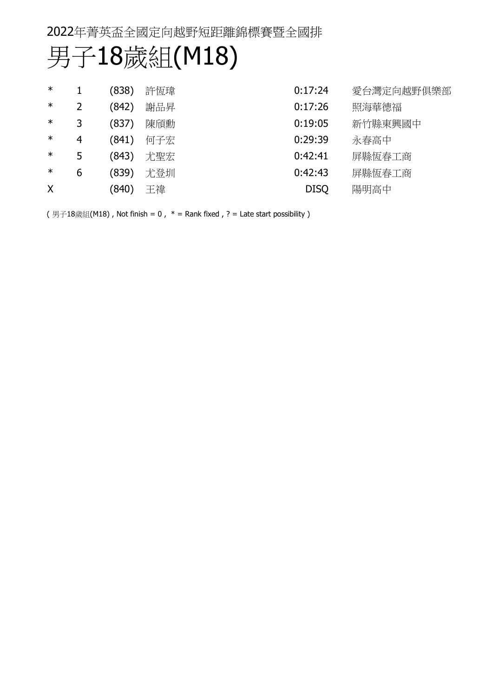## 男子18歲組(M18)

| $\ast$ |   | (838) | 許恆瑋 | 0:17:24     | 愛台灣定向越野俱樂部 |
|--------|---|-------|-----|-------------|------------|
| $\ast$ |   | (842) | 謝品昇 | 0:17:26     | 照海華德福      |
| $\ast$ | 3 | (837) | 陳頎勳 | 0:19:05     | 新竹縣東興國中    |
| $\ast$ | 4 | (841) | 何子宏 | 0:29:39     | 永春高中       |
| $\ast$ | 5 | (843) | 尤聖宏 | 0:42:41     | 屏縣恆春工商     |
| $\ast$ | 6 | (839) | 尤登圳 | 0:42:43     | 屏縣恆春工商     |
| X      |   | (840) | 王禕  | <b>DISQ</b> | 陽明高中       |

(男子18歲組(M18), Not finish = 0,  $*$  = Rank fixed, ? = Late start possibility)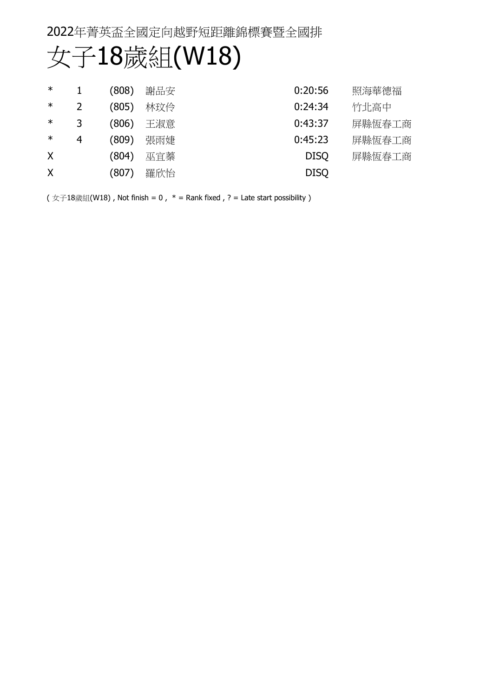## 女子18歲組(W18)

| $\ast$  |   | (808) | 謝品安 | 0:20:56     | 照海華德福  |
|---------|---|-------|-----|-------------|--------|
| ∗       |   | (805) | 林玟伶 | 0:24:34     | 竹北高中   |
| ∗       | 3 | (806) | 王淑意 | 0:43:37     | 屏縣恆春工商 |
| $\ast$  | 4 | (809) | 張雨婕 | 0:45:23     | 屏縣恆春工商 |
| X       |   | (804) | 巫官蓁 | <b>DISO</b> | 屏縣恆春工商 |
| $\sf X$ |   | (807) | 羅欣怡 | <b>DISQ</b> |        |

( 女子18歲組(W18), Not finish = 0,  $*$  = Rank fixed, ? = Late start possibility )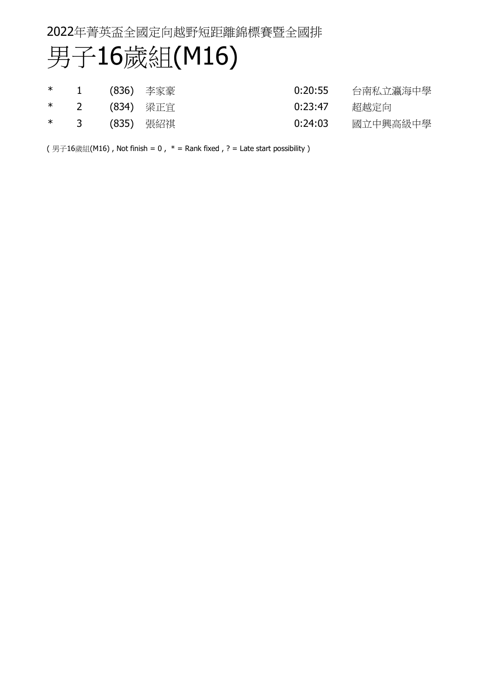## 男子16歲組(M16)

|  | *  1  (836) 李家豪 | 0:20:55 | 台南私立瀛海中學 |
|--|-----------------|---------|----------|
|  | *  2  (834) 梁正宜 | 0:23:47 | 超越定向     |
|  | *  3  (835) 張紹祺 | 0:24:03 | 國立中興高級中學 |

(男子16歲組(M16), Not finish = 0,  $*$  = Rank fixed, ? = Late start possibility)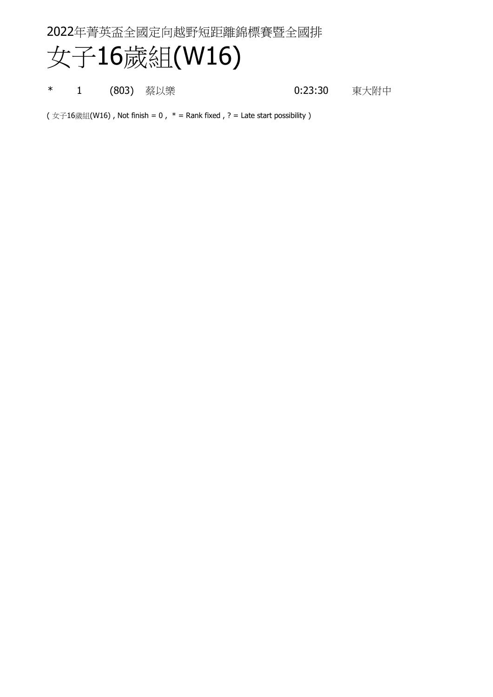# 女子16歲組(W16)

\* 1 (803) 蔡以樂 1 0:23:30 東大附中

 $(y \text{ if } (x \text{ if } 16)$  , Not finish = 0,  $*$  = Rank fixed, ? = Late start possibility )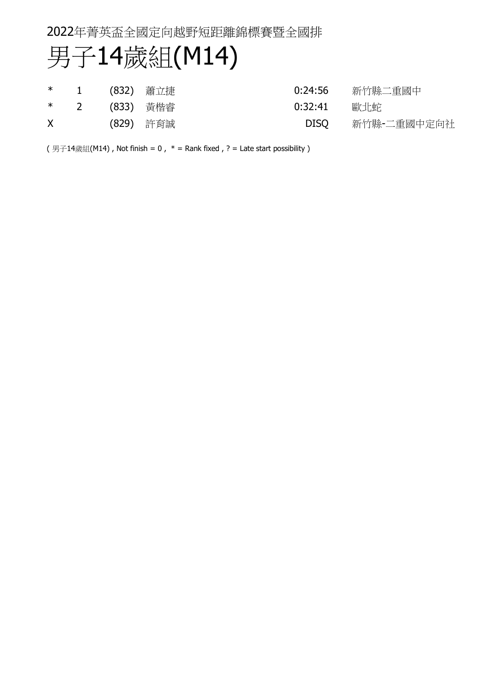## 男子14歲組(M14)

|   | * 1 (832) 蕭立捷 |           | 新竹縣二重國中<br>0:24:56  |
|---|---------------|-----------|---------------------|
|   | * 2 (833) 黃楷睿 |           | 0:32:41<br>歐北蛇      |
| X |               | (829) 許育誠 | 新竹縣-二重國中定向社<br>DISO |

(男子14歲組(M14), Not finish =  $0$ ,  $*$  = Rank fixed, ? = Late start possibility)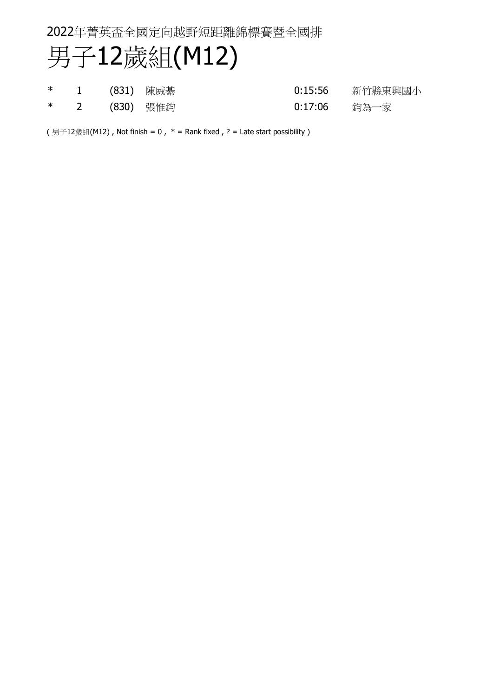## 男子12歲組(M12)

|  | *  1  (831) 陳威綦 | 0:15:56        | 新竹縣東興國小 |
|--|-----------------|----------------|---------|
|  | *  2  (830) 張惟鈞 | 0:17:06   鈞為一家 |         |

(男子12歲組(M12), Not finish = 0,  $*$  = Rank fixed, ? = Late start possibility)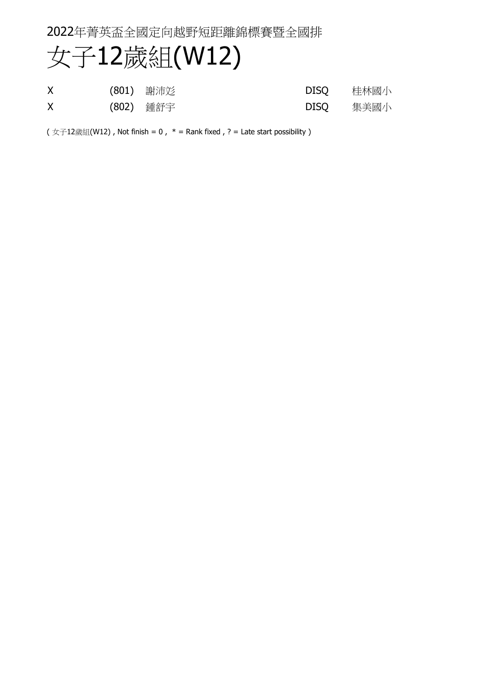## 女子12歲組(W12)

| $\sf X$ | (801) 謝沛彣 | DISO      | 桂林國小 |
|---------|-----------|-----------|------|
| X       | (802) 鍾舒宇 | DISQ 集美國小 |      |

( 女子12歲組(W12), Not finish = 0,  $*$  = Rank fixed, ? = Late start possibility)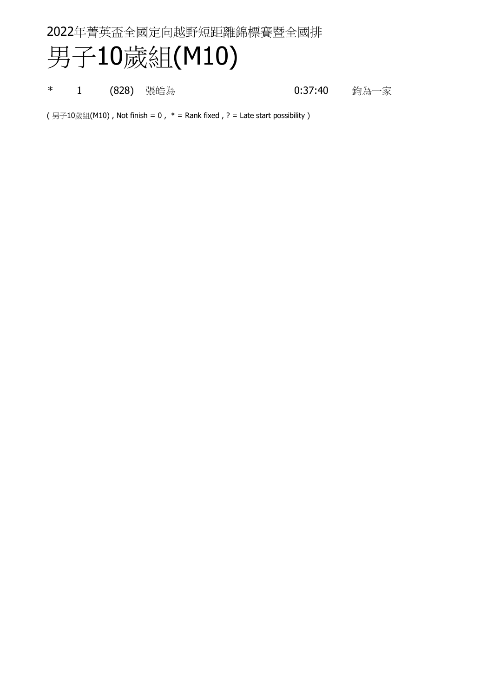## 男子10歲組(M10)

\* 1 (828) 張皓為 1 (828) の 19 10:37:40 釣為一家

(男子10歲組(M10), Not finish = 0,  $*$  = Rank fixed, ? = Late start possibility)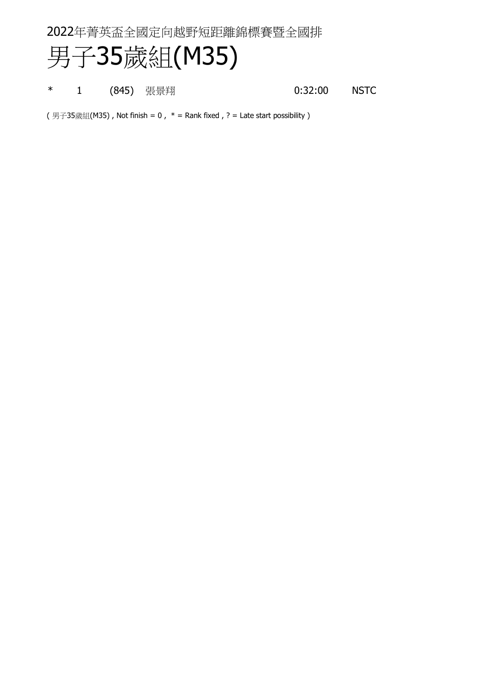#### 男子35歲組(M35)

\* 1 (845) 張景翔 0:32:00 NSTC

(男子35歲組(M35), Not finish = 0,  $*$  = Rank fixed, ? = Late start possibility)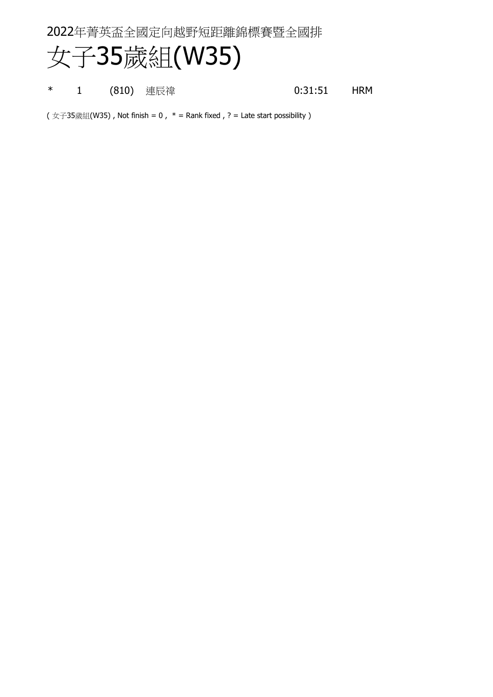## 女子35歲組(W35)

\* 1 (810) 連辰禕 0:31:51 HRM

 $(y \text{ and } (x + 35\text{)}$  (W35), Not finish = 0,  $*$  = Rank fixed, ? = Late start possibility )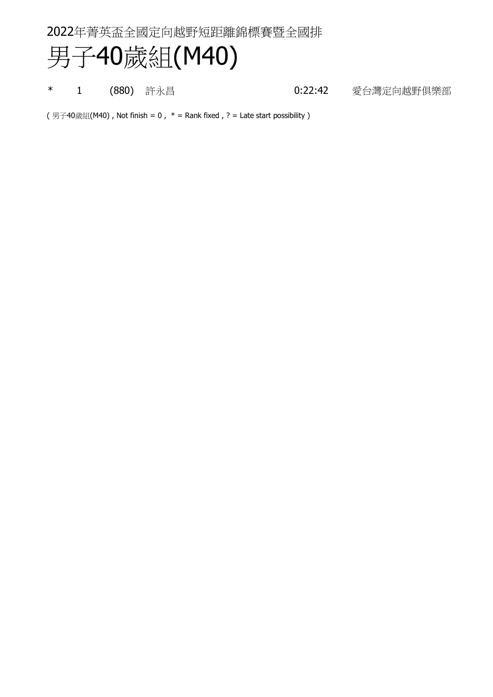## 男子40歲組(M40)

\* 1 (880) 許永昌 0:22:42 愛台灣定向越野俱樂部

(男子40歲組(M40), Not finish = 0,  $*$  = Rank fixed, ? = Late start possibility)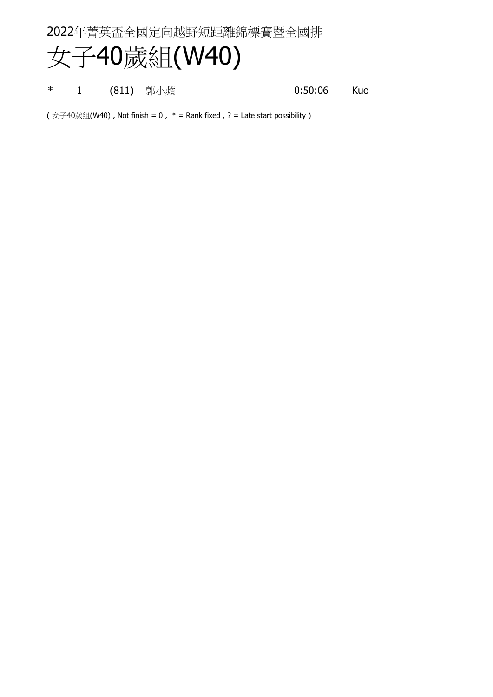## 女子40歲組(W40)

\* 1 (811) 郭小蘋 0:50:06 Kuo

 $(y \text{ and } (x + 40)$  , Not finish = 0,  $*$  = Rank fixed, ? = Late start possibility )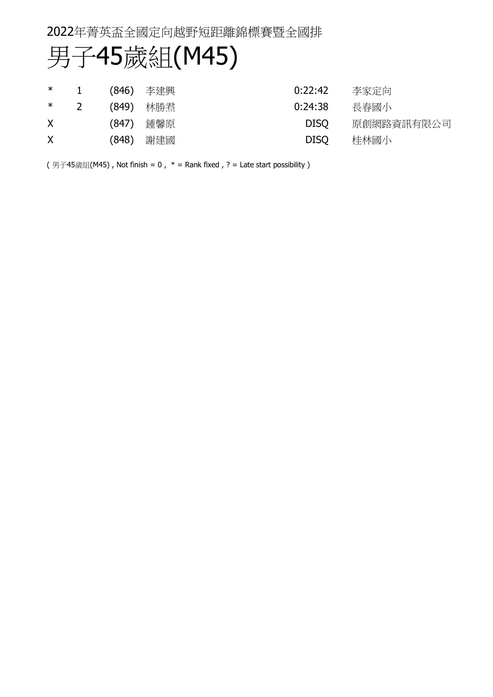## 男子45歲組(M45)

| $\ast$ |                |       | (846) 李建興 | 0:22:42<br>李家定向           |
|--------|----------------|-------|-----------|---------------------------|
| $\ast$ | $\overline{2}$ |       | (849) 林勝焄 | 0:24:38<br>長春國小           |
| X.     |                | (847) | 鍾馨原       | 原創網路資訊有限公司<br><b>DISO</b> |
| X      |                | (848) | 謝建國       | <b>DISO</b><br>桂林國小       |

(男子45歲組(M45), Not finish =  $0$ ,  $*$  = Rank fixed, ? = Late start possibility)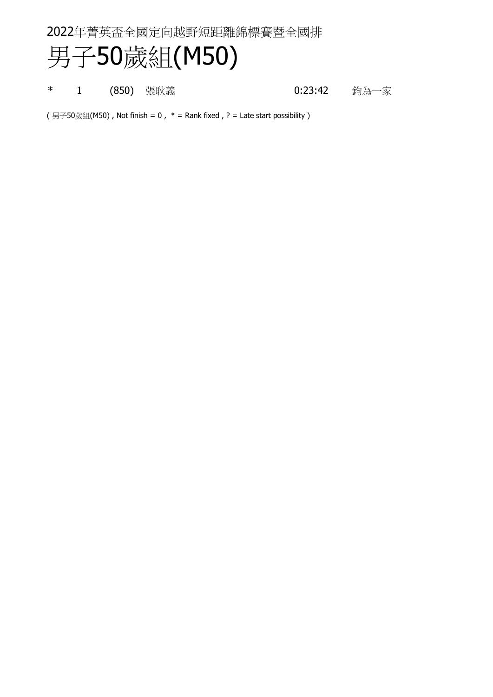## 男子50歲組(M50)

\* 1 (850) 張耿義 1 (850) 23:42 約為一家

(男子50歲組(M50), Not finish = 0,  $*$  = Rank fixed, ? = Late start possibility)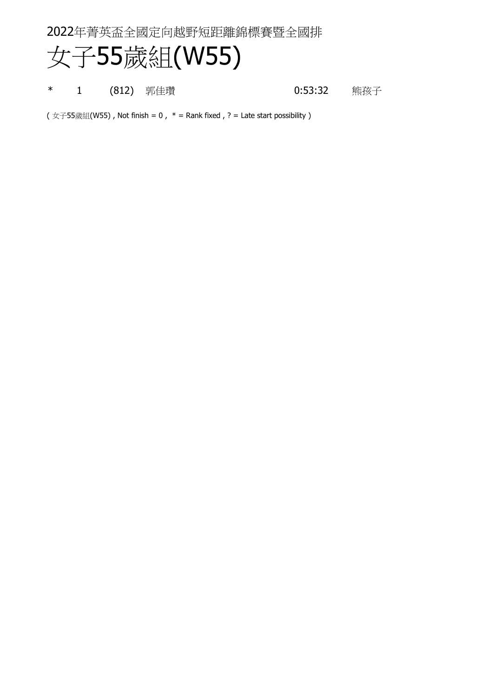#### 女子55歲組(W55)

\* 1 (812) 郭佳瓚 0:53:32 熊孩子

( 女子55歲組(W55), Not finish = 0,  $*$  = Rank fixed, ? = Late start possibility)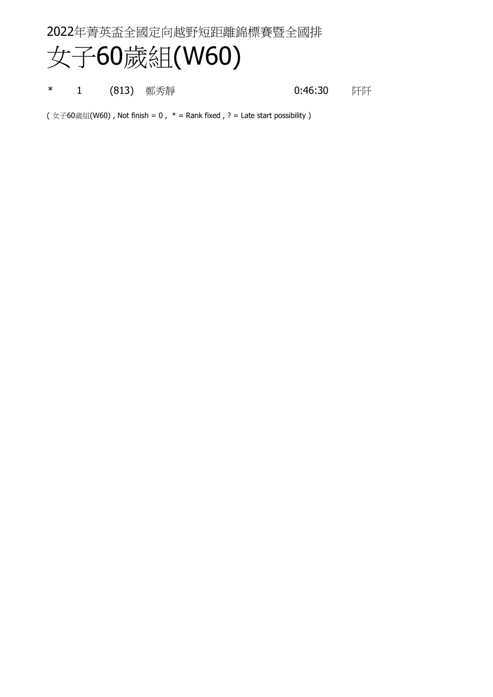## 女子60歲組(W60)

\* 1 (813) 鄭秀靜 0:46:30 阡阡

 $(y \text{ if } (x \neq 60)$ , Not finish = 0,  $*$  = Rank fixed, ? = Late start possibility )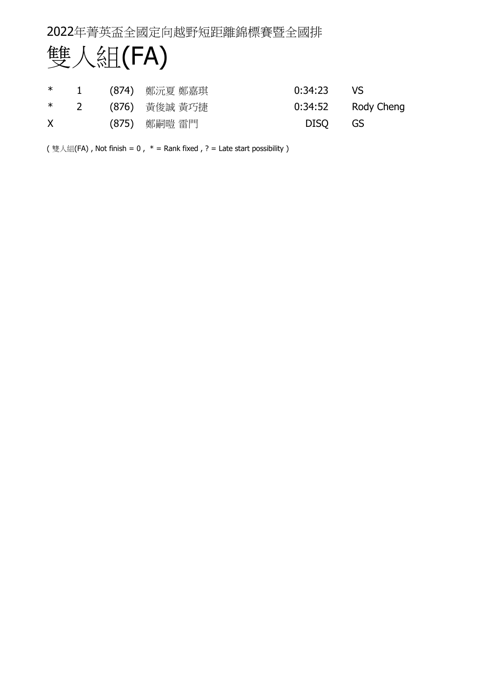

|   |  | * 1 (874) 鄭沅夏 鄭嘉琪 | $0:34:23$ VS |                      |
|---|--|-------------------|--------------|----------------------|
|   |  | * 2 (876) 黃俊誠 黃巧捷 |              | $0:34:52$ Rody Cheng |
| X |  | (875) 鄭嗣暟 雷門      | DISO GS      |                      |

(雙人組(FA), Not finish = 0,  $*$  = Rank fixed, ? = Late start possibility)